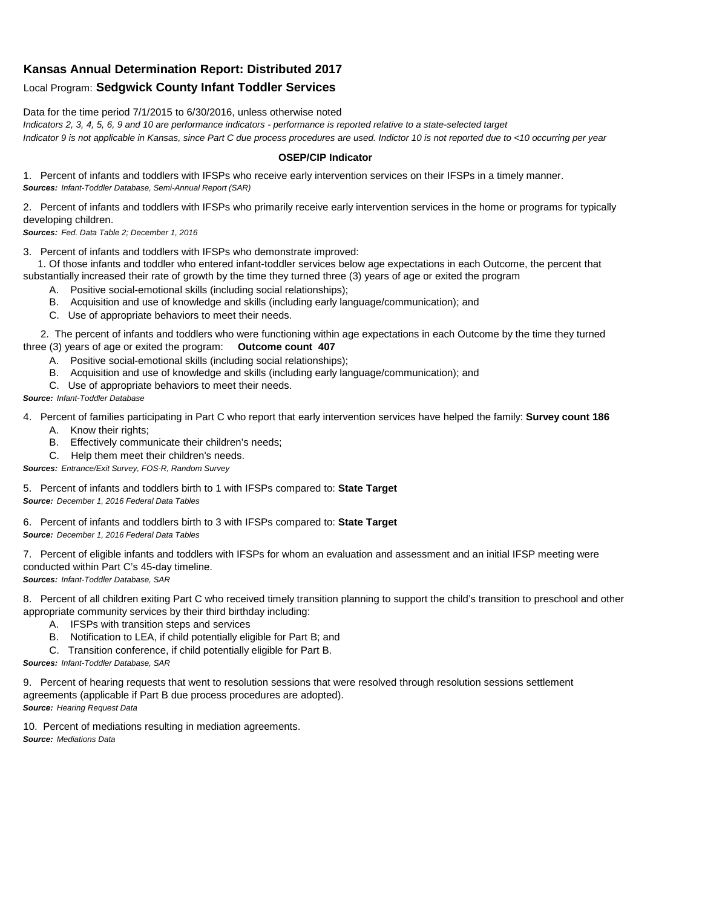## **Kansas Annual Determination Report: Distributed 2017**

## Local Program: **Sedgwick County Infant Toddler Services**

Data for the time period 7/1/2015 to 6/30/2016, unless otherwise noted

*Indicators 2, 3, 4, 5, 6, 9 and 10 are performance indicators - performance is reported relative to a state-selected target Indicator 9 is not applicable in Kansas, since Part C due process procedures are used. Indictor 10 is not reported due to <10 occurring per year*

## **OSEP/CIP Indicator**

1. Percent of infants and toddlers with IFSPs who receive early intervention services on their IFSPs in a timely manner. *Sources: Infant-Toddler Database, Semi-Annual Report (SAR)* 

2. Percent of infants and toddlers with IFSPs who primarily receive early intervention services in the home or programs for typically developing children.

*Sources: Fed. Data Table 2; December 1, 2016*

3. Percent of infants and toddlers with IFSPs who demonstrate improved:

 1. Of those infants and toddler who entered infant-toddler services below age expectations in each Outcome, the percent that substantially increased their rate of growth by the time they turned three (3) years of age or exited the program

- A. Positive social-emotional skills (including social relationships);
- B. Acquisition and use of knowledge and skills (including early language/communication); and
- C. Use of appropriate behaviors to meet their needs.

 2. The percent of infants and toddlers who were functioning within age expectations in each Outcome by the time they turned three (3) years of age or exited the program: **Outcome count 407**

- A. Positive social-emotional skills (including social relationships);
- B. Acquisition and use of knowledge and skills (including early language/communication); and
- C. Use of appropriate behaviors to meet their needs.

## *Source: Infant-Toddler Database*

4. Percent of families participating in Part C who report that early intervention services have helped the family: **Survey count 186**

- A. Know their rights;
- B. Effectively communicate their children's needs;
- C. Help them meet their children's needs.
- *Sources: Entrance/Exit Survey, FOS-R, Random Survey*

5. Percent of infants and toddlers birth to 1 with IFSPs compared to: **State Target** *Source: December 1, 2016 Federal Data Tables*

6. Percent of infants and toddlers birth to 3 with IFSPs compared to: **State Target** *Source: December 1, 2016 Federal Data Tables*

7. Percent of eligible infants and toddlers with IFSPs for whom an evaluation and assessment and an initial IFSP meeting were conducted within Part C's 45-day timeline.

*Sources: Infant-Toddler Database, SAR*

8. Percent of all children exiting Part C who received timely transition planning to support the child's transition to preschool and other appropriate community services by their third birthday including:

- A. IFSPs with transition steps and services
- B. Notification to LEA, if child potentially eligible for Part B; and
- C. Transition conference, if child potentially eligible for Part B.

*Sources: Infant-Toddler Database, SAR*

9. Percent of hearing requests that went to resolution sessions that were resolved through resolution sessions settlement agreements (applicable if Part B due process procedures are adopted). *Source: Hearing Request Data*

10. Percent of mediations resulting in mediation agreements. *Source: Mediations Data*